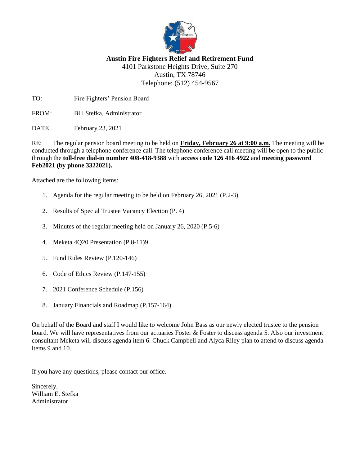

# **Austin Fire Fighters Relief and Retirement Fund**

4101 Parkstone Heights Drive, Suite 270 Austin, TX 78746 Telephone: (512) 454-9567

TO: Fire Fighters' Pension Board

FROM: Bill Stefka, Administrator

DATE February 23, 2021

RE: The regular pension board meeting to be held on **Friday, February 26 at 9:00 a.m.** The meeting will be conducted through a telephone conference call. The telephone conference call meeting will be open to the public through the **toll-free dial-in number 408-418-9388** with **access code 126 416 4922** and **meeting password Feb2021 (by phone 3322021).**

Attached are the following items:

- 1. Agenda for the regular meeting to be held on February 26, 2021 (P.2-3)
- 2. Results of Special Trustee Vacancy Election (P. 4)
- 3. Minutes of the regular meeting held on January 26, 2020 (P.5-6)
- 4. Meketa 4Q20 Presentation (P.8-11)9
- 5. Fund Rules Review (P.120-146)
- 6. Code of Ethics Review (P.147-155)
- 7. 2021 Conference Schedule (P.156)
- 8. January Financials and Roadmap (P.157-164)

On behalf of the Board and staff I would like to welcome John Bass as our newly elected trustee to the pension board. We will have representatives from our actuaries Foster & Foster to discuss agenda 5. Also our investment consultant Meketa will discuss agenda item 6. Chuck Campbell and Alyca Riley plan to attend to discuss agenda items 9 and 10.

If you have any questions, please contact our office.

Sincerely, William E. Stefka Administrator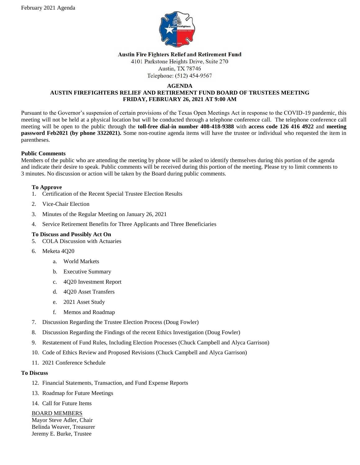

#### **Austin Fire Fighters Relief and Retirement Fund**

4101 Parkstone Heights Drive, Suite 270

#### Austin, TX 78746 Telephone: (512) 454-9567

#### **AGENDA**

## **AUSTIN FIREFIGHTERS RELIEF AND RETIREMENT FUND BOARD OF TRUSTEES MEETING FRIDAY, FEBRUARY 26, 2021 AT 9:00 AM**

Pursuant to the Governor's suspension of certain provisions of the Texas Open Meetings Act in response to the COVID-19 pandemic, this meeting will not be held at a physical location but will be conducted through a telephone conference call. The telephone conference call meeting will be open to the public through the **toll-free dial-in number 408-418-9388** with **access code 126 416 4922** and **meeting password Feb2021 (by phone 3322021).** Some non-routine agenda items will have the trustee or individual who requested the item in parentheses.

## **Public Comments**

Members of the public who are attending the meeting by phone will be asked to identify themselves during this portion of the agenda and indicate their desire to speak. Public comments will be received during this portion of the meeting. Please try to limit comments to 3 minutes. No discussion or action will be taken by the Board during public comments.

## **To Approve**

- 1. Certification of the Recent Special Trustee Election Results
- 2. Vice-Chair Election
- 3. Minutes of the Regular Meeting on January 26, 2021
- 4. Service Retirement Benefits for Three Applicants and Three Beneficiaries

## **To Discuss and Possibly Act On**

- 5. COLA Discussion with Actuaries
- 6. Meketa 4Q20
	- a. World Markets
	- b. Executive Summary
	- c. 4Q20 Investment Report
	- d. 4Q20 Asset Transfers
	- e. 2021 Asset Study
	- f. Memos and Roadmap
- 7. Discussion Regarding the Trustee Election Process (Doug Fowler)
- 8. Discussion Regarding the Findings of the recent Ethics Investigation (Doug Fowler)
- 9. Restatement of Fund Rules, Including Election Processes (Chuck Campbell and Alyca Garrison)
- 10. Code of Ethics Review and Proposed Revisions (Chuck Campbell and Alyca Garrison)
- 11. 2021 Conference Schedule

#### **To Discuss**

- 12. Financial Statements, Transaction, and Fund Expense Reports
- 13. Roadmap for Future Meetings
- 14. Call for Future Items

## BOARD MEMBERS

Mayor Steve Adler, Chair Belinda Weaver, Treasurer Jeremy E. Burke, Trustee